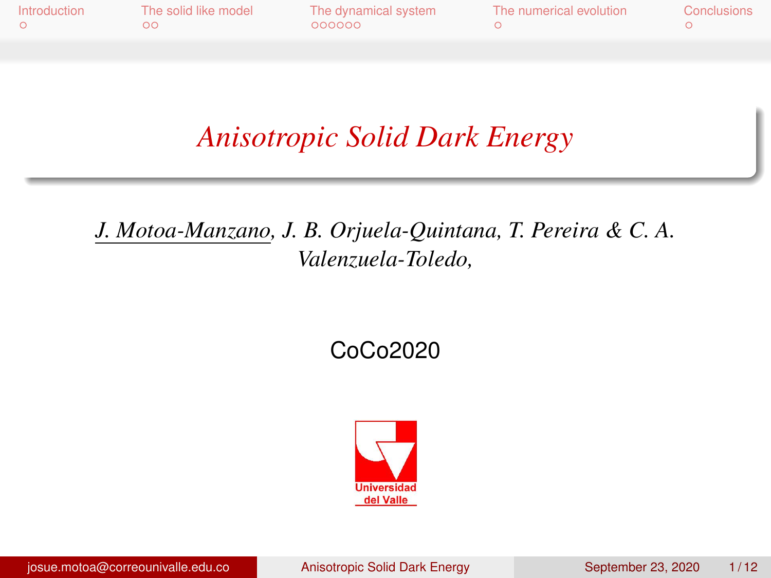<span id="page-0-0"></span>

| Introduction | The solid like model | The dynamical system | The numerical evolution | Conclusions |
|--------------|----------------------|----------------------|-------------------------|-------------|
|              | ററ                   | 000000               |                         |             |

*Anisotropic Solid Dark Energy*

*J. Motoa-Manzano, J. B. Orjuela-Quintana, T. Pereira & C. A. Valenzuela-Toledo,*

CoCo2020

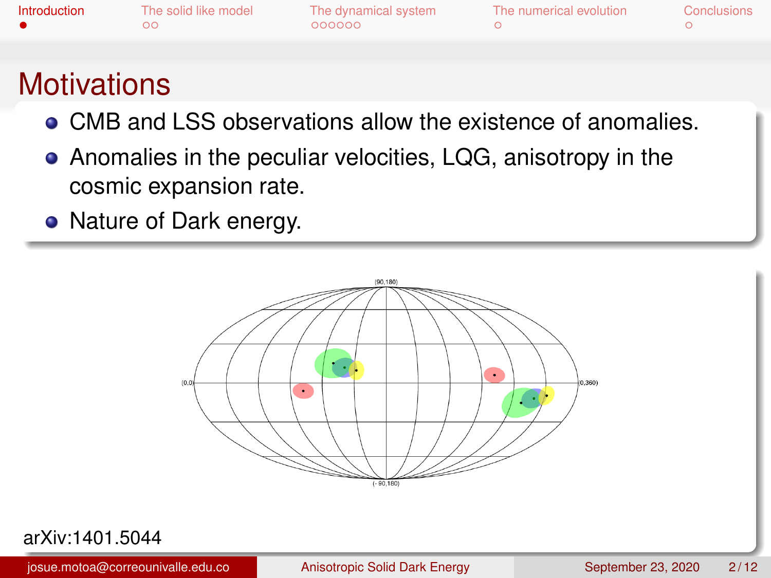<span id="page-1-0"></span>

| Introduction | The solid like model | The dynamical system | The numerical evolution | Conclusions |
|--------------|----------------------|----------------------|-------------------------|-------------|
|              | ററ                   | looppo               |                         |             |
|              |                      |                      |                         |             |

## **Motivations**

- CMB and LSS observations allow the existence of anomalies.
- Anomalies in the peculiar velocities, LQG, anisotropy in the cosmic expansion rate.
- Nature of Dark energy.



#### arXiv:1401.5044

josue.motoa@correounivalle.edu.co [Anisotropic Solid Dark Energy](#page-0-0) September 23, 2020 2/12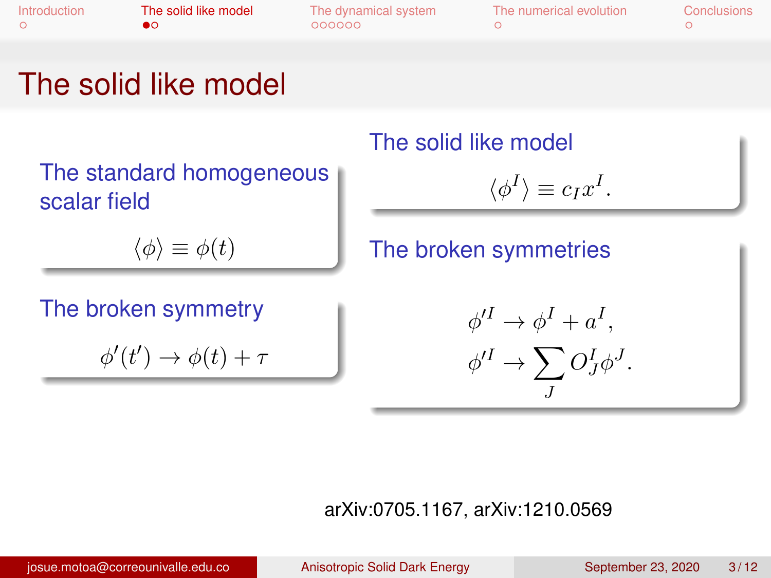<span id="page-2-0"></span>

| Introduction | The solid like model | The dynamical system | The numerical evolution | Conclusions |
|--------------|----------------------|----------------------|-------------------------|-------------|
|              |                      | 000000               |                         |             |

## The solid like model

The standard homogeneous scalar field

 $\langle \phi \rangle \equiv \phi(t)$ 

The broken symmetry

 $\phi'(t') \to \phi(t) + \tau$ 

#### The solid like model

$$
\langle \phi^I \rangle \equiv c_I x^I.
$$

### The broken symmetries

$$
\begin{aligned} \phi'^I &\rightarrow \phi^I + a^I, \\ \phi'^I &\rightarrow \sum_J O^I_J \phi^J. \end{aligned}
$$

#### arXiv:0705.1167, arXiv:1210.0569

josue.motoa@correounivalle.edu.co [Anisotropic Solid Dark Energy](#page-0-0) September 23, 2020 3/12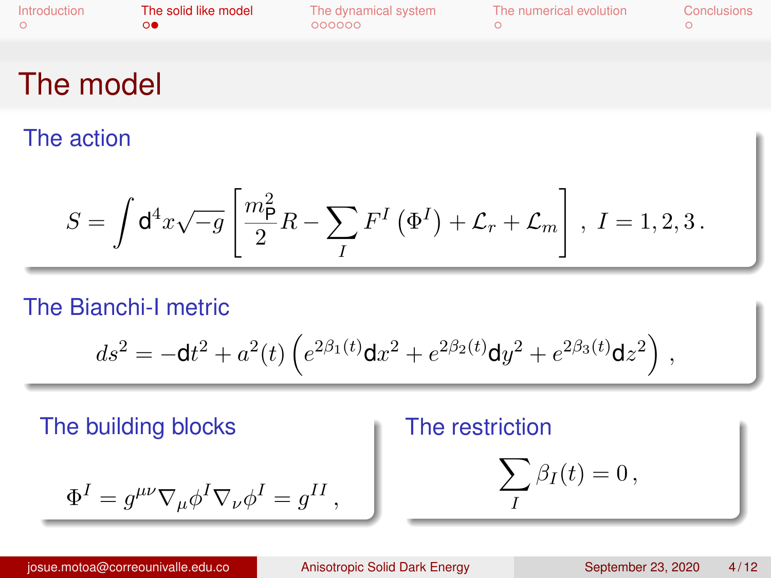| Introduction | The solid like model | The dynamical system | The numerical evolution | Conclusions |
|--------------|----------------------|----------------------|-------------------------|-------------|
|              | െ                    | 000000               |                         |             |
|              |                      |                      |                         |             |

## The model

The action

$$
S = \int \mathrm{d}^4 x \sqrt{-g} \left[ \frac{m_{\mathsf{P}}^2}{2} R - \sum_{I} F^{I} \left( \Phi^{I} \right) + \mathcal{L}_r + \mathcal{L}_m \right], I = 1, 2, 3.
$$

#### The Bianchi-I metric

$$
ds^2 = - \mathrm{d}t^2 + a^2(t) \left( e^{2 \beta_1(t)} \mathrm{d}x^2 + e^{2 \beta_2(t)} \mathrm{d}y^2 + e^{2 \beta_3(t)} \mathrm{d}z^2 \right) \,,
$$

The building blocks

# $\Phi^I = g^{\mu\nu}\nabla_\mu \phi^I \nabla_\nu \phi^I = g^{II}\,,$

### The restriction

$$
\sum_I \beta_I(t) = 0 \,,
$$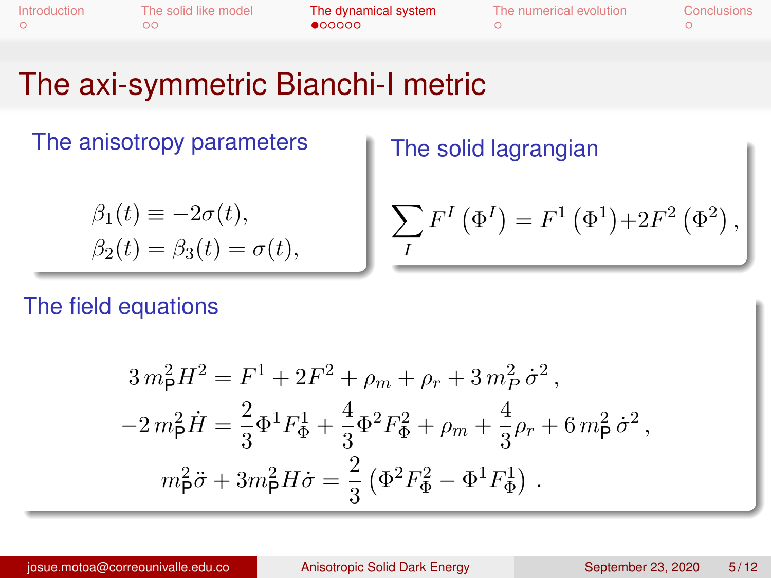<span id="page-4-0"></span>

| Introduction |  |  |
|--------------|--|--|
|              |  |  |

[Introduction](#page-1-0) [The solid like model](#page-2-0) [The dynamical system](#page-4-0) [The numerical evolution](#page-10-0) [Conclusions](#page-11-0)

## The axi-symmetric Bianchi-I metric

The anisotropy parameters

$$
\beta_1(t) \equiv -2\sigma(t),
$$
  
\n
$$
\beta_2(t) = \beta_3(t) = \sigma(t),
$$

The solid lagrangian

$$
\sum_{I} F^{I} (\Phi^{I}) = F^{1} (\Phi^{1}) + 2F^{2} (\Phi^{2}),
$$

The field equations

$$
3 m_{\rm P}^2 H^2 = F^1 + 2F^2 + \rho_m + \rho_r + 3 m_P^2 \dot{\sigma}^2,
$$
  

$$
-2 m_{\rm P}^2 \dot{H} = \frac{2}{3} \Phi^1 F_{\Phi}^1 + \frac{4}{3} \Phi^2 F_{\Phi}^2 + \rho_m + \frac{4}{3} \rho_r + 6 m_{\rm P}^2 \dot{\sigma}^2,
$$
  

$$
m_{\rm P}^2 \ddot{\sigma} + 3 m_{\rm P}^2 H \dot{\sigma} = \frac{2}{3} (\Phi^2 F_{\Phi}^2 - \Phi^1 F_{\Phi}^1).
$$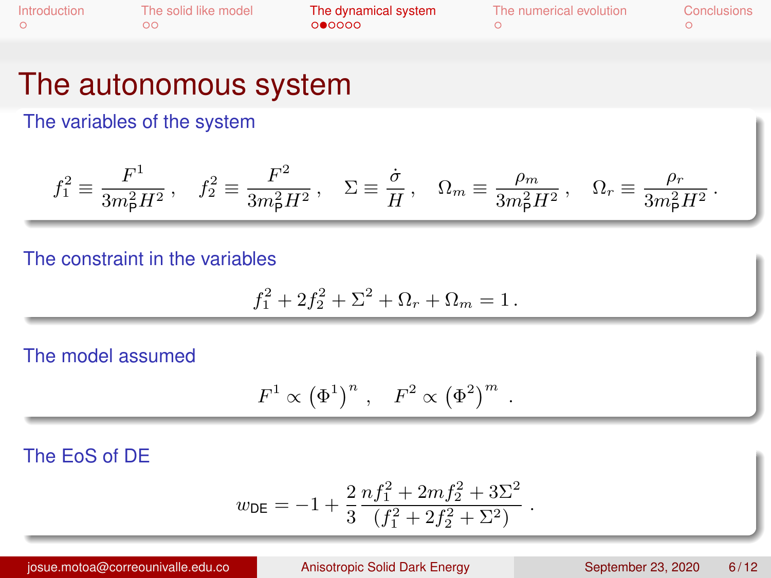| Introduction | The solid like model | The dynamical system | The numerical evolution | Conclusions |
|--------------|----------------------|----------------------|-------------------------|-------------|
|              | ററ                   | 000000               |                         |             |

### The autonomous system

The variables of the system

$$
f_1^2 \equiv \frac{F^1}{3m_{\rm P}^2 H^2} \,, \quad f_2^2 \equiv \frac{F^2}{3m_{\rm P}^2 H^2} \,, \quad \Sigma \equiv \frac{\dot{\sigma}}{H} \,, \quad \Omega_m \equiv \frac{\rho_m}{3m_{\rm P}^2 H^2} \,, \quad \Omega_r \equiv \frac{\rho_r}{3m_{\rm P}^2 H^2} \,.
$$

#### The constraint in the variables

$$
f_1^2 + 2f_2^2 + \Sigma^2 + \Omega_r + \Omega_m = 1.
$$

#### The model assumed

$$
F^1 \propto (\Phi^1)^n , F^2 \propto (\Phi^2)^m .
$$

#### The EoS of DE

$$
w_{\text{DE}} = -1 + \frac{2}{3} \frac{n f_1^2 + 2m f_2^2 + 3\Sigma^2}{(f_1^2 + 2f_2^2 + \Sigma^2)}
$$

.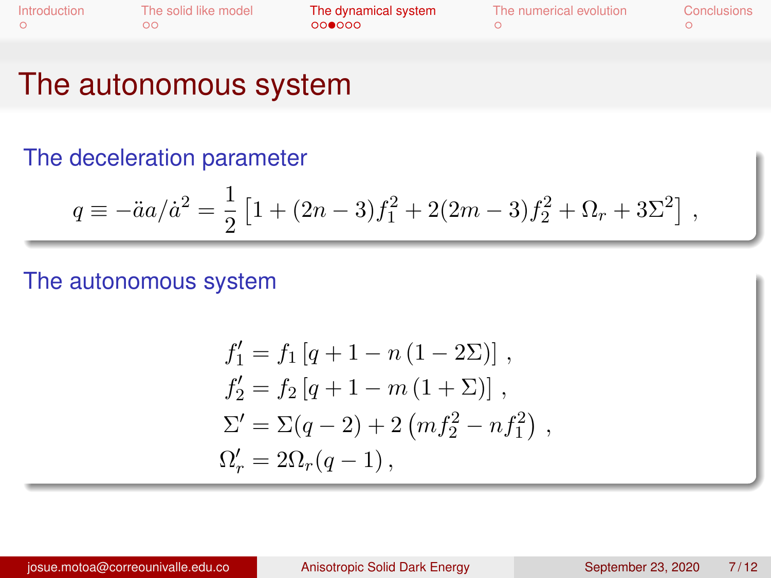| Introduction | The solid like model<br>ററ | The dynamical system<br>000000 | The numerical evolution | Conclusions |
|--------------|----------------------------|--------------------------------|-------------------------|-------------|
|--------------|----------------------------|--------------------------------|-------------------------|-------------|

### The autonomous system

#### The deceleration parameter

$$
q \equiv -\ddot{a}a/\dot{a}^2 = \frac{1}{2} \left[ 1 + (2n - 3)f_1^2 + 2(2m - 3)f_2^2 + \Omega_r + 3\Sigma^2 \right],
$$

#### The autonomous system

$$
f'_1 = f_1 [q + 1 - n (1 - 2\Sigma)],
$$
  
\n
$$
f'_2 = f_2 [q + 1 - m (1 + \Sigma)],
$$
  
\n
$$
\Sigma' = \Sigma (q - 2) + 2 (m f_2^2 - n f_1^2),
$$
  
\n
$$
\Omega'_r = 2\Omega_r (q - 1),
$$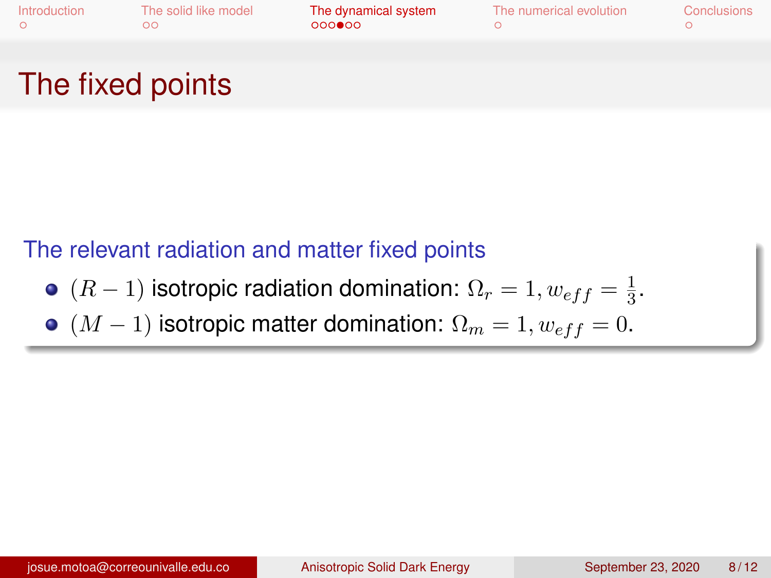| Introduction |  |
|--------------|--|
| $\Omega$     |  |

[Introduction](#page-1-0) [The solid like model](#page-2-0) [The dynamical system](#page-4-0) [The numerical evolution](#page-10-0) [Conclusions](#page-11-0)

## The fixed points

### The relevant radiation and matter fixed points

- $(R-1)$  isotropic radiation domination:  $\Omega_r=1, w_{eff}=\frac{1}{3}$  $\frac{1}{3}$ .
- $(M 1)$  isotropic matter domination:  $\Omega_m = 1, w_{eff} = 0$ .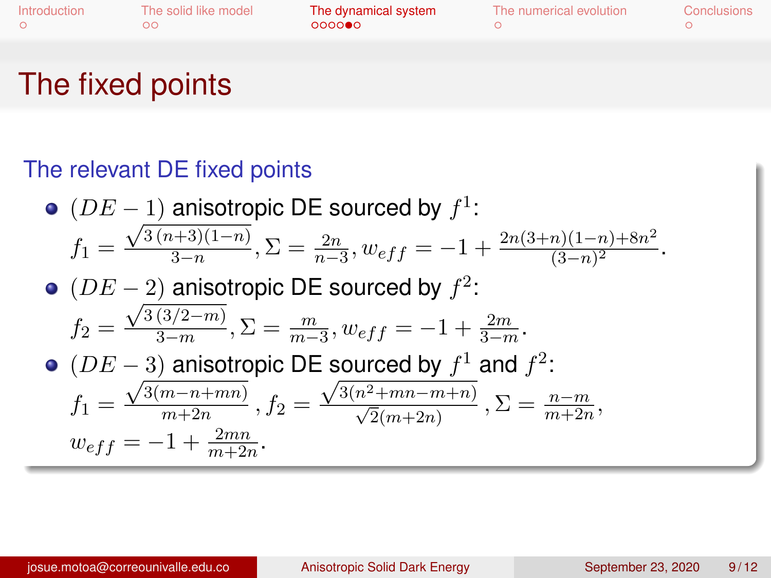| Introduction | The solid like model | The dynamical system | The numerical evolution | Conclusions |
|--------------|----------------------|----------------------|-------------------------|-------------|
|              |                      | 000000               |                         |             |

## The fixed points

### The relevant DE fixed points

\n- \n (DE - 1) anisotropic DE sourceed by 
$$
f^1
$$
:\n 
$$
f_1 = \frac{\sqrt{3(n+3)(1-n)}}{3-n}, \Sigma = \frac{2n}{n-3}, w_{eff} = -1 + \frac{2n(3+n)(1-n) + 8n^2}{(3-n)^2}.
$$
\n
\n- \n (DE - 2) anisotropic DE sourceed by  $f^2$ :\n 
$$
f_2 = \frac{\sqrt{3(3/2-m)}}{3-m}, \Sigma = \frac{m}{m-3}, w_{eff} = -1 + \frac{2m}{3-m}.
$$
\n
\n- \n (DE - 3) anisotropic DE sourceed by  $f^1$  and  $f^2$ :\n 
$$
f_1 = \frac{\sqrt{3(m-n+mn)}}{m+2n}, f_2 = \frac{\sqrt{3(n^2+mn-m+n)}}{\sqrt{2}(m+2n)}, \Sigma = \frac{n-m}{m+2n}, w_{eff} = -1 + \frac{2mn}{m+2n}.
$$
\n
\n

josue.motoa@correounivalle.edu.co [Anisotropic Solid Dark Energy](#page-0-0) September 23, 2020 9/12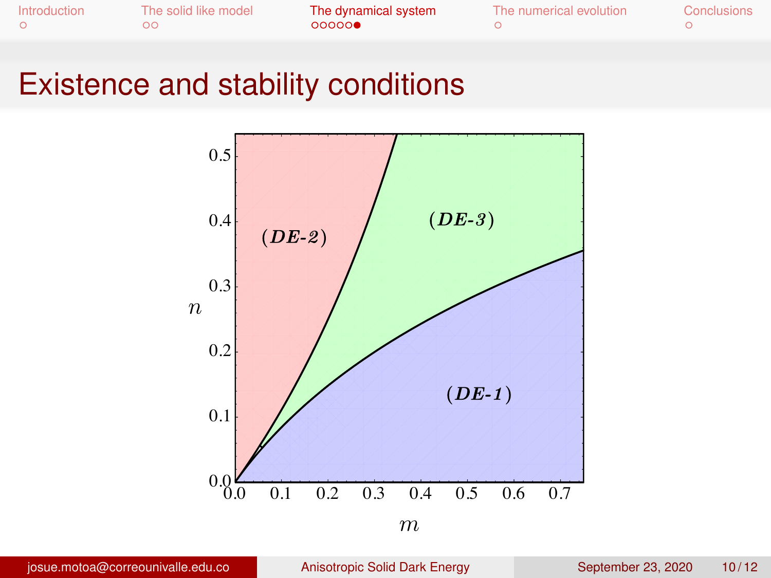| Introduction | The solid like model<br>ററ | The dynamical system<br>00000 | The numerical evolution | <b>Conclusions</b> |
|--------------|----------------------------|-------------------------------|-------------------------|--------------------|
|--------------|----------------------------|-------------------------------|-------------------------|--------------------|

### **Existence and stability conditions**

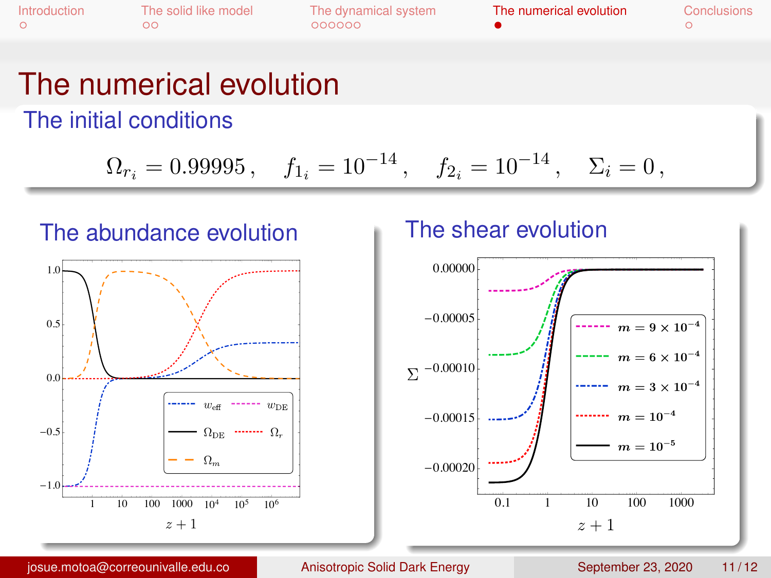<span id="page-10-0"></span>

| <b>ntroduction</b> | The solid like model | The dynamical system | The numerical evolution | Conclusions |
|--------------------|----------------------|----------------------|-------------------------|-------------|
|                    | ററ                   | 000000               |                         |             |

### The numerical evolution

The initial conditions

$$
\Omega_{r_i}=0.99995\,,\quad f_{1_i}=10^{-14}\,,\quad f_{2_i}=10^{-14}\,,\quad \Sigma_i=0\,,
$$



#### The shear evolution



josue.motoa@correounivalle.edu.co

Anisotropic Solid Dark Energy